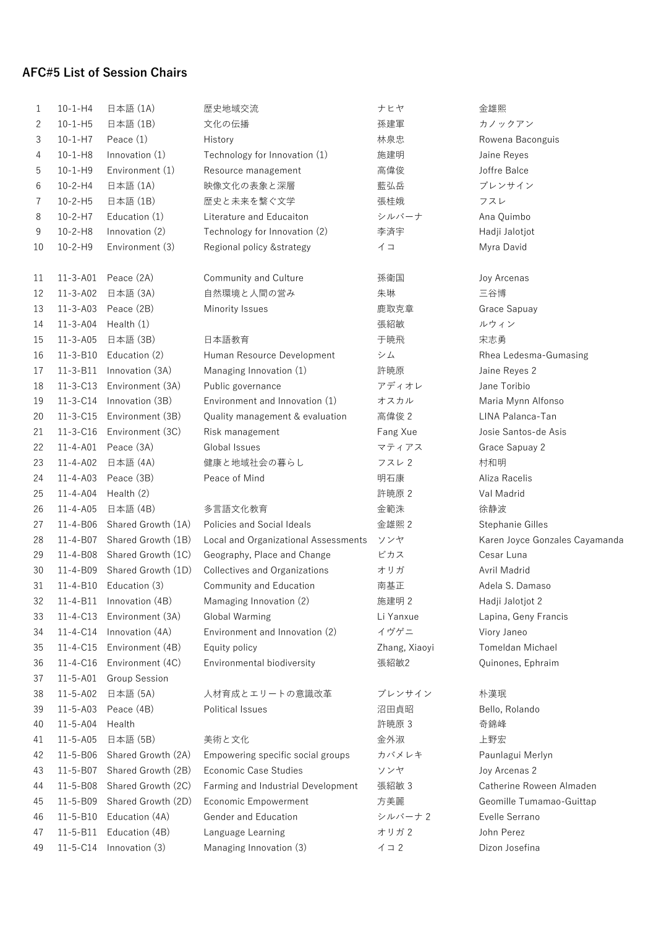## **AFC#5 List of Session Chairs**

| 1  | $10 - 1 - H4$  | 日本語 (1A)           | 歴史地域交流                               | ナヒヤ           | 金雄熙                            |
|----|----------------|--------------------|--------------------------------------|---------------|--------------------------------|
| 2  | $10 - 1 - H5$  | 日本語 (1B)           | 文化の伝播                                | 孫建軍           | カノックアン                         |
| 3  | $10 - 1 - H7$  | Peace $(1)$        | History                              | 林泉忠           | Rowena Baconguis               |
| 4  | $10 - 1 - H8$  | Innovation (1)     | Technology for Innovation (1)        | 施建明           | Jaine Reyes                    |
| 5  | $10 - 1 - H9$  | Environment (1)    | Resource management                  | 高偉俊           | Joffre Balce                   |
| 6  | $10 - 2 - H4$  | 日本語 (1A)           | 映像文化の表象と深層                           | 藍弘岳           | ブレンサイン                         |
| 7  | $10 - 2 - H5$  | 日本語 (1B)           | 歴史と未来を繋ぐ文学                           | 張桂娥           | フスレ                            |
| 8  | $10 - 2 - H7$  | Education (1)      | Literature and Educaiton             | シルバーナ         | Ana Quimbo                     |
| 9  | $10 - 2 - H8$  | Innovation (2)     | Technology for Innovation (2)        | 李済宇           | Hadji Jalotjot                 |
| 10 | $10 - 2 - H9$  | Environment (3)    | Regional policy & strategy           | イコ            | Myra David                     |
| 11 | $11 - 3 - A01$ | Peace (2A)         | Community and Culture                | 孫衛国           | Joy Arcenas                    |
| 12 | $11 - 3 - A02$ | 日本語 (3A)           | 自然環境と人間の営み                           | 朱琳            | 三谷博                            |
| 13 | $11 - 3 - A03$ | Peace (2B)         | Minority Issues                      | 鹿取克章          | Grace Sapuay                   |
| 14 | $11 - 3 - A04$ | Health (1)         |                                      | 張紹敏           | ルウィン                           |
| 15 | $11 - 3 - A05$ | 日本語 (3B)           | 日本語教育                                | 于暁飛           | 宋志勇                            |
| 16 | $11 - 3 - B10$ | Education (2)      | Human Resource Development           | シム            | Rhea Ledesma-Gumasing          |
| 17 | $11 - 3 - B11$ | Innovation (3A)    | Managing Innovation (1)              | 許暁原           | Jaine Reyes 2                  |
| 18 | $11 - 3 - C13$ | Environment (3A)   | Public governance                    | アディオレ         | Jane Toribio                   |
| 19 | $11 - 3 - C14$ | Innovation (3B)    | Environment and Innovation (1)       | オスカル          | Maria Mynn Alfonso             |
| 20 | $11 - 3 - C15$ | Environment (3B)   | Quality management & evaluation      | 高偉俊 2         | LINA Palanca-Tan               |
| 21 | $11 - 3 - C16$ | Environment (3C)   | Risk management                      | Fang Xue      | Josie Santos-de Asis           |
| 22 | $11 - 4 - A01$ | Peace (3A)         | Global Issues                        | マティアス         | Grace Sapuay 2                 |
| 23 | 11-4-A02       | 日本語 (4A)           | 健康と地域社会の暮らし                          | フスレ2          | 村和明                            |
| 24 | $11 - 4 - A03$ | Peace (3B)         | Peace of Mind                        | 明石康           | Aliza Racelis                  |
| 25 | $11 - 4 - A04$ | Health (2)         |                                      | 許暁原 2         | Val Madrid                     |
| 26 | $11 - 4 - A05$ | 日本語 (4B)           | 多言語文化教育                              | 金範洙           | 徐静波                            |
| 27 | 11-4-B06       | Shared Growth (1A) | Policies and Social Ideals           | 金雄熙 2         | Stephanie Gilles               |
| 28 | 11-4-B07       | Shared Growth (1B) | Local and Organizational Assessments | ソンヤ           | Karen Joyce Gonzales Cayamanda |
| 29 | 11-4-B08       | Shared Growth (1C) | Geography, Place and Change          | ビカス           | Cesar Luna                     |
| 30 | 11-4-B09       | Shared Growth (1D) | Collectives and Organizations        | オリガ           | Avril Madrid                   |
| 31 | 11-4-B10       | Education (3)      | Community and Education              | 南基正           | Adela S. Damaso                |
| 32 | 11-4-B11       | Innovation (4B)    | Mamaging Innovation (2)              | 施建明 2         | Hadji Jalotjot 2               |
| 33 | $11 - 4 - C13$ | Environment (3A)   | <b>Global Warming</b>                | Li Yanxue     | Lapina, Geny Francis           |
| 34 | 11-4-C14       | Innovation (4A)    | Environment and Innovation (2)       | イヴゲニ          | Viory Janeo                    |
| 35 | $11 - 4 - C15$ | Environment (4B)   | Equity policy                        | Zhang, Xiaoyi | Tomeldan Michael               |
| 36 | 11-4-C16       | Environment (4C)   | Environmental biodiversity           | 張紹敏2          | Quinones, Ephraim              |
| 37 | $11 - 5 - A01$ | Group Session      |                                      |               |                                |
| 38 | $11 - 5 - A02$ | 日本語 (5A)           | 人材育成とエリートの意識改革                       | ブレンサイン        | 朴漢珉                            |
| 39 | $11 - 5 - A03$ | Peace (4B)         | Political Issues                     | 沼田貞昭          | Bello, Rolando                 |
| 40 | $11 - 5 - A04$ | Health             |                                      | 許暁原 3         | 奇錦峰                            |
| 41 | $11 - 5 - A05$ | 日本語 (5B)           | 美術と文化                                | 金外淑           | 上野宏                            |
| 42 | 11-5-B06       | Shared Growth (2A) | Empowering specific social groups    | カバメレキ         | Paunlagui Merlyn               |
| 43 | 11-5-B07       | Shared Growth (2B) | <b>Economic Case Studies</b>         | ソンヤ           | Joy Arcenas 2                  |
| 44 | 11-5-B08       | Shared Growth (2C) | Farming and Industrial Development   | 張紹敏 3         | Catherine Roween Almaden       |
| 45 | 11-5-B09       | Shared Growth (2D) | Economic Empowerment                 | 方美麗           | Geomille Tumamao-Guittap       |
| 46 | $11 - 5 - B10$ | Education (4A)     | Gender and Education                 | シルバーナ2        | Evelle Serrano                 |
| 47 | $11 - 5 - B11$ | Education (4B)     | Language Learning                    | オリガ2          | John Perez                     |
| 49 | $11 - 5 - C14$ | Innovation (3)     | Managing Innovation (3)              | $1 \supset 2$ | Dizon Josefina                 |
|    |                |                    |                                      |               |                                |